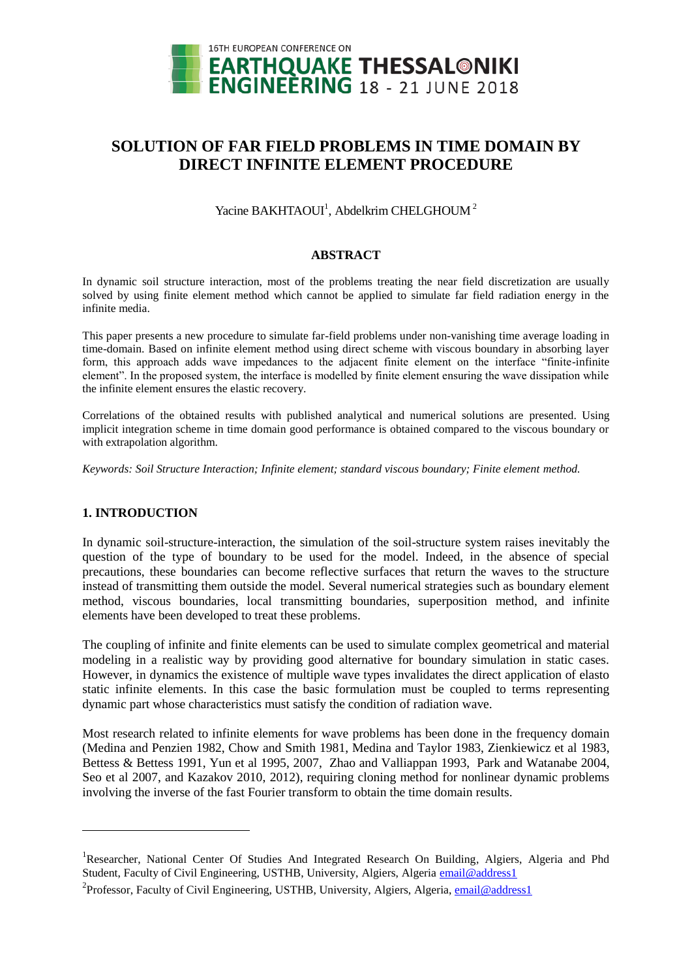

# **SOLUTION OF FAR FIELD PROBLEMS IN TIME DOMAIN BY DIRECT INFINITE ELEMENT PROCEDURE**

Yacine BAKHTAOUI<sup>1</sup>, Abdelkrim CHELGHOUM<sup>2</sup>

## **ABSTRACT**

In dynamic soil structure interaction, most of the problems treating the near field discretization are usually solved by using finite element method which cannot be applied to simulate far field radiation energy in the infinite media.

This paper presents a new procedure to simulate far-field problems under non-vanishing time average loading in time-domain. Based on infinite element method using direct scheme with viscous boundary in absorbing layer form, this approach adds wave impedances to the adjacent finite element on the interface "finite-infinite element". In the proposed system, the interface is modelled by finite element ensuring the wave dissipation while the infinite element ensures the elastic recovery.

Correlations of the obtained results with published analytical and numerical solutions are presented. Using implicit integration scheme in time domain good performance is obtained compared to the viscous boundary or with extrapolation algorithm.

*Keywords: Soil Structure Interaction; Infinite element; standard viscous boundary; Finite element method.*

# **1. INTRODUCTION**

l

In dynamic soil-structure-interaction, the simulation of the soil-structure system raises inevitably the question of the type of boundary to be used for the model. Indeed, in the absence of special precautions, these boundaries can become reflective surfaces that return the waves to the structure instead of transmitting them outside the model. Several numerical strategies such as boundary element method, viscous boundaries, local transmitting boundaries, superposition method, and infinite elements have been developed to treat these problems.

The coupling of infinite and finite elements can be used to simulate complex geometrical and material modeling in a realistic way by providing good alternative for boundary simulation in static cases. However, in dynamics the existence of multiple wave types invalidates the direct application of elasto static infinite elements. In this case the basic formulation must be coupled to terms representing dynamic part whose characteristics must satisfy the condition of radiation wave.

Most research related to infinite elements for wave problems has been done in the frequency domain (Medina and Penzien 1982, Chow and Smith 1981, Medina and Taylor 1983, Zienkiewicz et al 1983, Bettess & Bettess 1991, Yun et al 1995, 2007, Zhao and Valliappan 1993, Park and Watanabe 2004, Seo et al 2007, and Kazakov 2010, 2012), requiring cloning method for nonlinear dynamic problems involving the inverse of the fast Fourier transform to obtain the time domain results.

<sup>&</sup>lt;sup>1</sup>Researcher, [National Center Of Studies And Integrated Research On Building,](https://www.google.dz/url?sa=t&rct=j&q=&esrc=s&source=web&cd=1&cad=rja&uact=8&ved=0ahUKEwjwl7GRhLbWAhVElxQKHbUTAgkQFggkMAA&url=https%3A%2F%2Fwww.startus.cc%2Fp%2Fcompany%2FNational%2520Center%2520of%2520Studies%2520and%2520Integrated%2520Research%2520on%2520Building%2520%2528CNERIB%2529%252C%2520Algeria%3Flanguage%3Den-UK&usg=AFQjCNHkK_ql0xJsPpb7C1L5n4goHZJXlg) Algiers, Algeria and Phd Student, Faculty of Civil Engineering, USTHB, University, Algiers, Algeria [email@address1](mailto:emailaddress@canterbury.ac.nz)

<sup>&</sup>lt;sup>2</sup> Professor, Faculty of Civil Engineering, USTHB, University, Algiers, Algeria, *email@address1*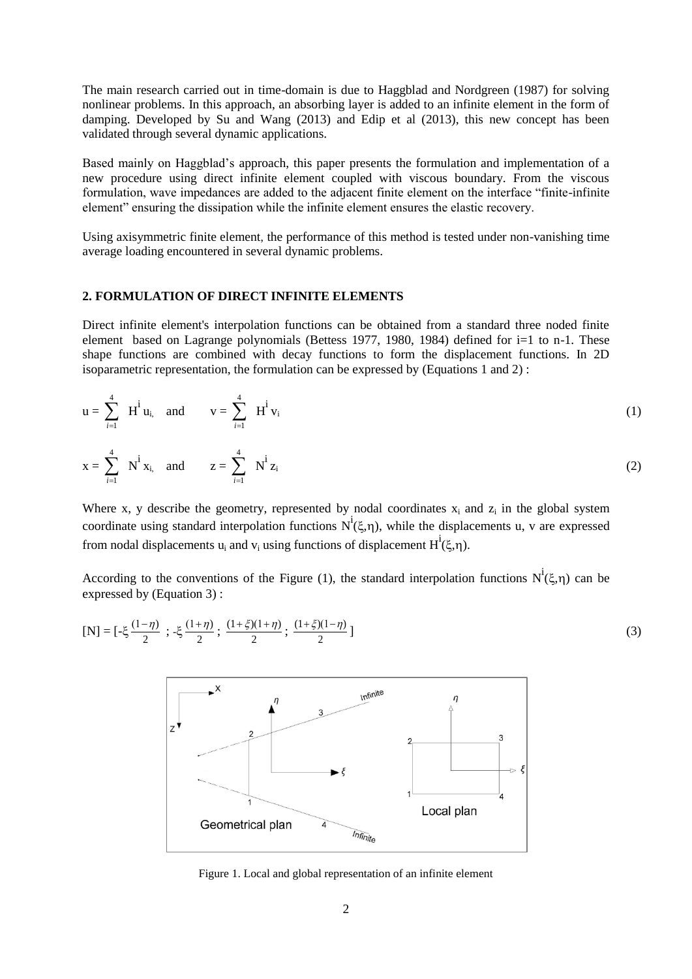The main research carried out in time-domain is due to Haggblad and Nordgreen (1987) for solving nonlinear problems. In this approach, an absorbing layer is added to an infinite element in the form of damping. Developed by Su and Wang (2013) and Edip et al (2013), this new concept has been validated through several dynamic applications.

Based mainly on Haggblad's approach, this paper presents the formulation and implementation of a new procedure using direct infinite element coupled with viscous boundary. From the viscous formulation, wave impedances are added to the adjacent finite element on the interface "finite-infinite element" ensuring the dissipation while the infinite element ensures the elastic recovery.

Using axisymmetric finite element, the performance of this method is tested under non-vanishing time average loading encountered in several dynamic problems.

## **2. FORMULATION OF DIRECT INFINITE ELEMENTS**

Direct infinite element's interpolation functions can be obtained from a standard three noded finite element based on Lagrange polynomials (Bettess 1977, 1980, 1984) defined for  $i=1$  to n-1. These shape functions are combined with decay functions to form the displacement functions. In 2D isoparametric representation, the formulation can be expressed by (Equations 1 and 2) :

$$
u = \sum_{i=1}^{4} H^{i} u_{i} \text{ and } v = \sum_{i=1}^{4} H^{i} v_{i}
$$
 (1)

$$
x = \sum_{i=1}^{4} N^{i} x_{i}
$$
, and  $z = \sum_{i=1}^{4} N^{i} z_{i}$  (2)

Where x, y describe the geometry, represented by nodal coordinates  $x_i$  and  $z_i$  in the global system coordinate using standard interpolation functions  $N^i(\xi,\eta)$ , while the displacements u, v are expressed from nodal displacements  $u_i$  and  $v_i$  using functions of displacement  $H^i(\xi,\eta)$ .

According to the conventions of the Figure (1), the standard interpolation functions  $N^i(\xi,\eta)$  can be expressed by (Equation 3) :

[N] = 
$$
[-\xi \frac{(1-\eta)}{2} ; -\xi \frac{(1+\eta)}{2} ; \frac{(1+\xi)(1+\eta)}{2} ; \frac{(1+\xi)(1-\eta)}{2}]
$$
 (3)



Figure 1. Local and global representation of an infinite element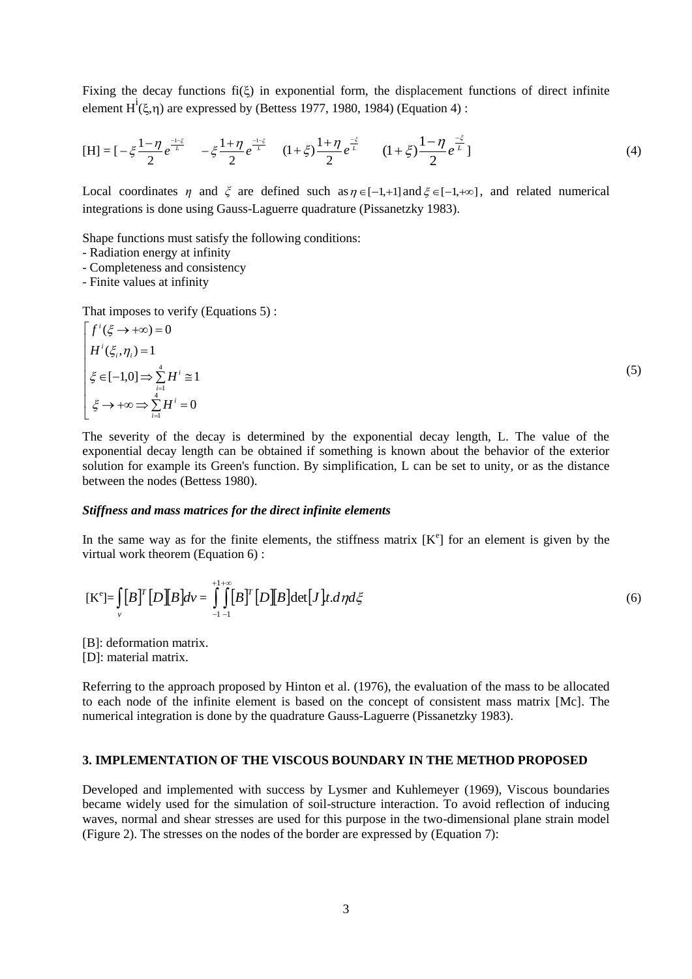Fixing the decay functions  $f_i(\xi)$  in exponential form, the displacement functions of direct infinite element  $H^i(\xi,\eta)$  are expressed by (Bettess 1977, 1980, 1984) (Equation 4):

$$
[\mathbf{H}] = \left[ -\xi \frac{1 - \eta}{2} e^{\frac{-i\xi}{L}} - \xi \frac{1 + \eta}{2} e^{\frac{-i\xi}{L}} - (1 + \xi) \frac{1 + \eta}{2} e^{\frac{-\xi}{L}} - (1 + \xi) \frac{1 - \eta}{2} e^{\frac{-\xi}{L}} \right]
$$
(4)

Local coordinates  $\eta$  and  $\xi$  are defined such as  $\eta \in [-1, +1]$  and  $\xi \in [-1, +\infty]$ , and related numerical integrations is done using Gauss-Laguerre quadrature (Pissanetzky 1983).

Shape functions must satisfy the following conditions:

- Radiation energy at infinity
- Completeness and consistency

- Finite values at infinity

That imposes to verify (Equations 5) :

$$
\begin{cases}\nf^i(\xi \to +\infty) = 0 \\
H^i(\xi_i, \eta_i) = 1 \\
\xi \in [-1, 0] \Rightarrow \sum_{i=1}^4 H^i \cong 1 \\
\xi \to +\infty \Rightarrow \sum_{i=1}^4 H^i = 0\n\end{cases}
$$
\n(5)

The severity of the decay is determined by the exponential decay length, L. The value of the exponential decay length can be obtained if something is known about the behavior of the exterior solution for example its Green's function. By simplification, L can be set to unity, or as the distance between the nodes (Bettess 1980).

#### *Stiffness and mass matrices for the direct infinite elements*

In the same way as for the finite elements, the stiffness matrix  $[K^e]$  for an element is given by the virtual work theorem (Equation 6) :

$$
[\mathbf{K}^e] = \iint\limits_V [B]^T [D][B] dv = \iint\limits_{-1}^{1+\infty} [B]^T [D][B] \det[J] t \, d\eta d\zeta
$$
 (6)

[B]: deformation matrix.

[D]: material matrix.

Referring to the approach proposed by Hinton et al. (1976), the evaluation of the mass to be allocated to each node of the infinite element is based on the concept of consistent mass matrix [Mc]. The numerical integration is done by the quadrature Gauss-Laguerre (Pissanetzky 1983).

## **3. IMPLEMENTATION OF THE VISCOUS BOUNDARY IN THE METHOD PROPOSED**

Developed and implemented with success by Lysmer and Kuhlemeyer (1969), Viscous boundaries became widely used for the simulation of soil-structure interaction. To avoid reflection of inducing waves, normal and shear stresses are used for this purpose in the two-dimensional plane strain model (Figure 2). The stresses on the nodes of the border are expressed by (Equation 7):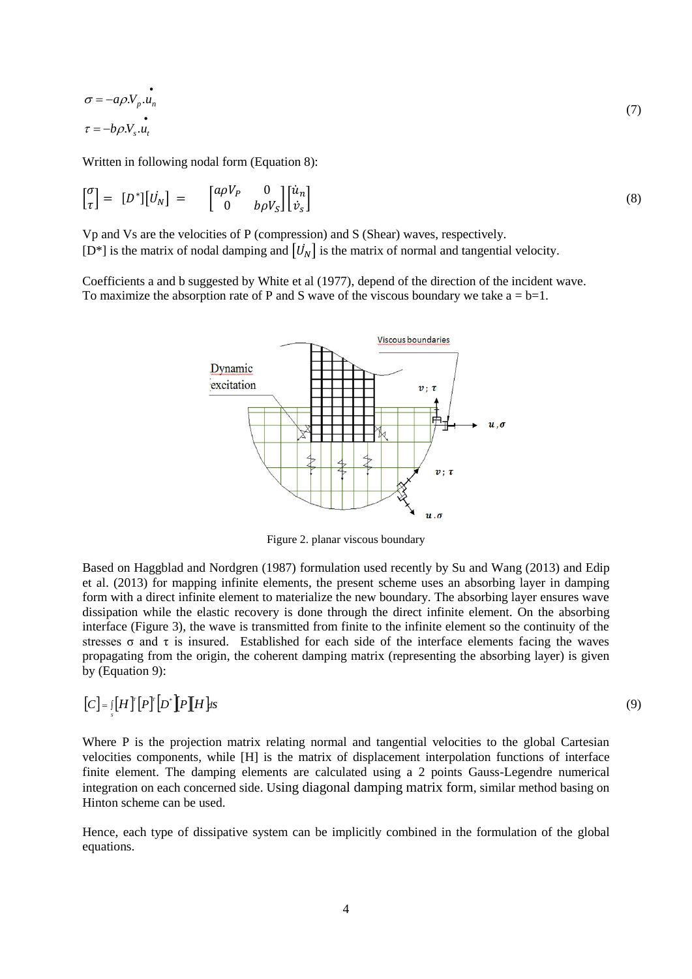$$
\sigma = -a\rho.V_p.u_n
$$
  
\n
$$
\tau = -b\rho.V_s.u_t
$$
\n(7)

Written in following nodal form (Equation 8):

$$
\begin{bmatrix} \sigma \\ \tau \end{bmatrix} = \begin{bmatrix} D^* \end{bmatrix} \begin{bmatrix} U_N \end{bmatrix} = \begin{bmatrix} a\rho V_P & 0 \\ 0 & b\rho V_S \end{bmatrix} \begin{bmatrix} \dot{u}_n \\ \dot{v}_s \end{bmatrix}
$$
(8)

Vp and Vs are the velocities of P (compression) and S (Shear) waves, respectively. [D<sup>\*</sup>] is the matrix of nodal damping and  $[\vec{U}_N]$  is the matrix of normal and tangential velocity.

Coefficients a and b suggested by White et al (1977), depend of the direction of the incident wave. To maximize the absorption rate of P and S wave of the viscous boundary we take  $a = b=1$ .



Figure 2. planar viscous boundary

Based on Haggblad and Nordgren (1987) formulation used recently by Su and Wang (2013) and Edip et al. (2013) for mapping infinite elements, the present scheme uses an absorbing layer in damping form with a direct infinite element to materialize the new boundary. The absorbing layer ensures wave dissipation while the elastic recovery is done through the direct infinite element. On the absorbing interface (Figure 3), the wave is transmitted from finite to the infinite element so the continuity of the stresses  $\sigma$  and  $\tau$  is insured. Established for each side of the interface elements facing the waves propagating from the origin, the coherent damping matrix (representing the absorbing layer) is given by (Equation 9):

$$
[C] = \iint_S [H]^T [P]^T [D^*] [P][H] \, ds
$$

Where P is the projection matrix relating normal and tangential velocities to the global Cartesian velocities components, while [H] is the matrix of displacement interpolation functions of interface finite element. The damping elements are calculated using a 2 points Gauss-Legendre numerical integration on each concerned side. Using diagonal damping matrix form, similar method basing on Hinton scheme can be used.

Hence, each type of dissipative system can be implicitly combined in the formulation of the global equations.

(9)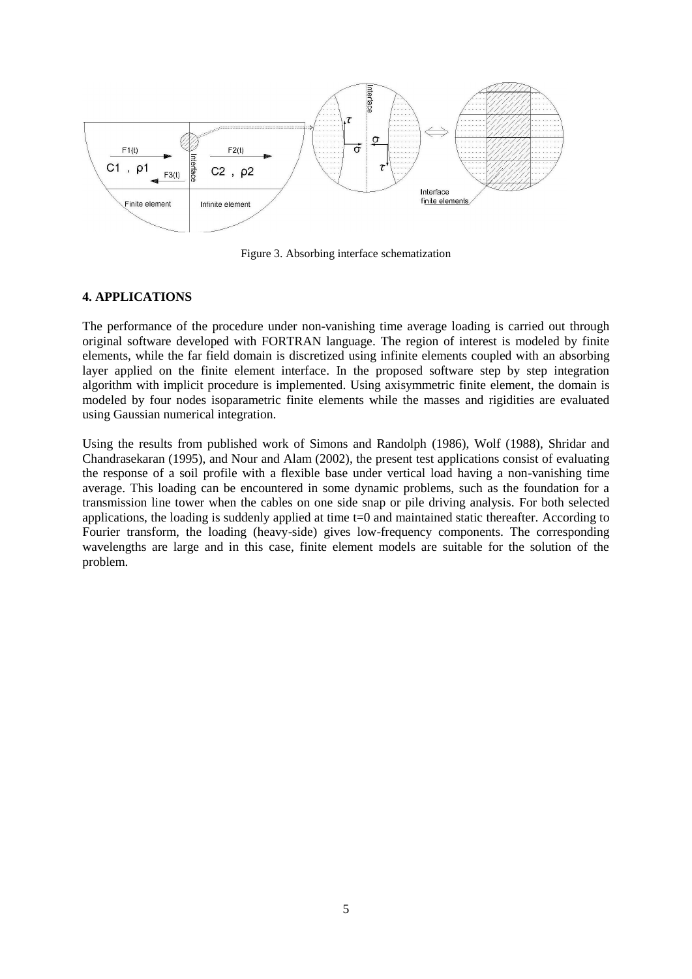

Figure 3. Absorbing interface schematization

# **4. APPLICATIONS**

The performance of the procedure under non-vanishing time average loading is carried out through original software developed with FORTRAN language. The region of interest is modeled by finite elements, while the far field domain is discretized using infinite elements coupled with an absorbing layer applied on the finite element interface. In the proposed software step by step integration algorithm with implicit procedure is implemented. Using axisymmetric finite element, the domain is modeled by four nodes isoparametric finite elements while the masses and rigidities are evaluated using Gaussian numerical integration.

Using the results from published work of Simons and Randolph (1986), Wolf (1988), Shridar and Chandrasekaran (1995), and Nour and Alam (2002), the present test applications consist of evaluating the response of a soil profile with a flexible base under vertical load having a non-vanishing time average. This loading can be encountered in some dynamic problems, such as the foundation for a transmission line tower when the cables on one side snap or pile driving analysis. For both selected applications, the loading is suddenly applied at time  $t=0$  and maintained static thereafter. According to Fourier transform, the loading (heavy-side) gives low-frequency components. The corresponding wavelengths are large and in this case, finite element models are suitable for the solution of the problem.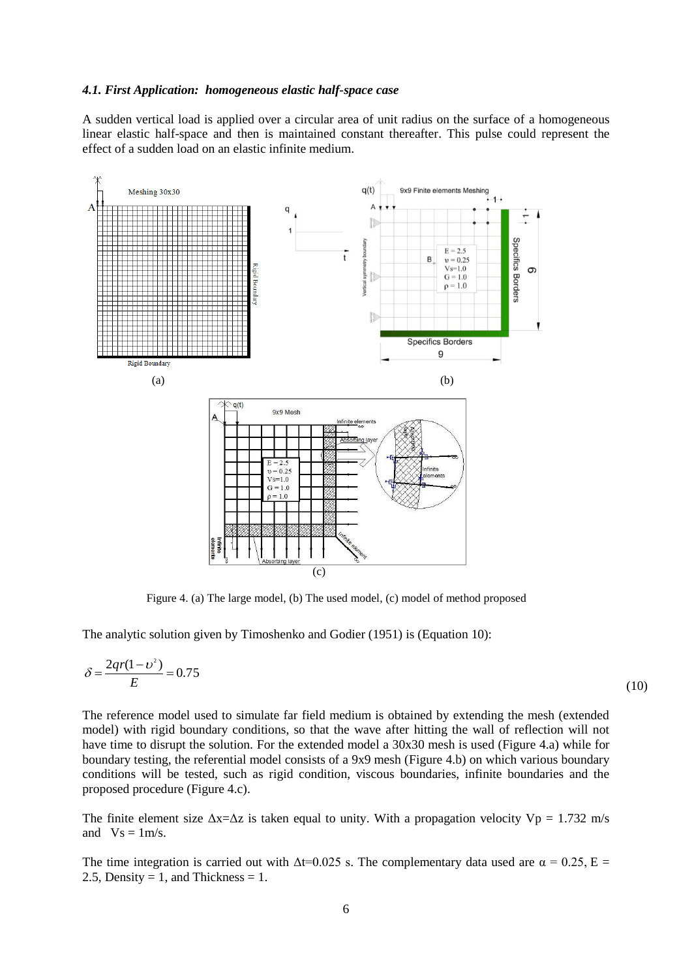## *4.1. First Application: homogeneous elastic half-space case*

A sudden vertical load is applied over a circular area of unit radius on the surface of a homogeneous linear elastic half-space and then is maintained constant thereafter. This pulse could represent the effect of a sudden load on an elastic infinite medium.



Figure 4. (a) The large model, (b) The used model, (c) model of method proposed

The analytic solution given by Timoshenko and Godier (1951) is (Equation 10):

$$
\delta = \frac{2qr(1-v^2)}{E} = 0.75\tag{10}
$$

The reference model used to simulate far field medium is obtained by extending the mesh (extended model) with rigid boundary conditions, so that the wave after hitting the wall of reflection will not have time to disrupt the solution. For the extended model a 30x30 mesh is used (Figure 4.a) while for boundary testing, the referential model consists of a 9x9 mesh (Figure 4.b) on which various boundary conditions will be tested, such as rigid condition, viscous boundaries, infinite boundaries and the proposed procedure (Figure 4.c).

The finite element size  $\Delta x = \Delta z$  is taken equal to unity. With a propagation velocity Vp = 1.732 m/s and  $Vs = 1m/s$ .

The time integration is carried out with  $\Delta t = 0.025$  s. The complementary data used are  $\alpha = 0.25$ , E = 2.5, Density = 1, and Thickness = 1.

 $(0)$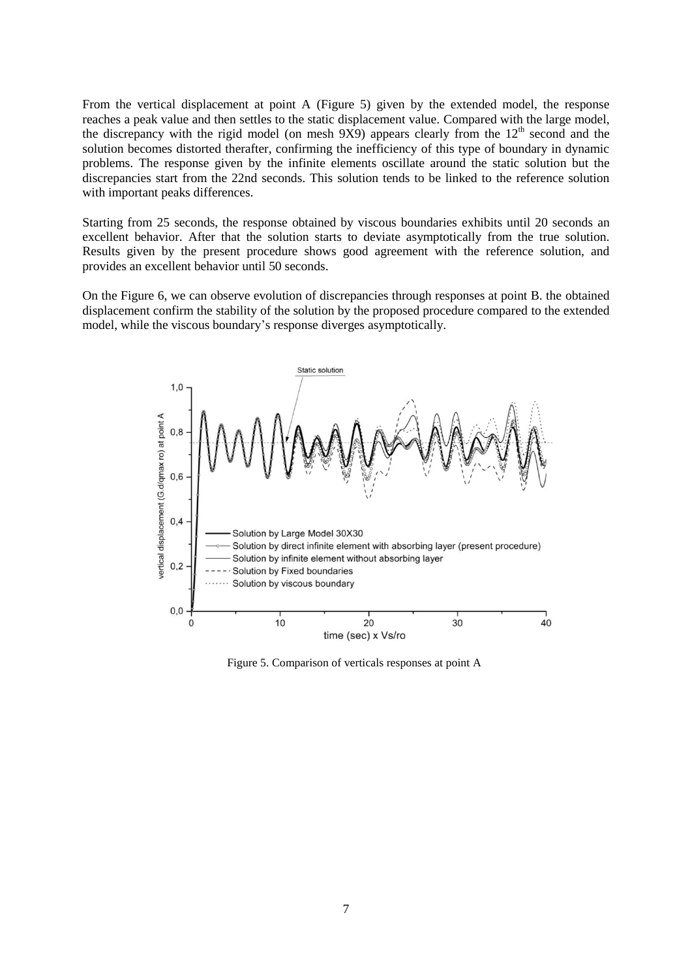From the vertical displacement at point A (Figure 5) given by the extended model, the response reaches a peak value and then settles to the static displacement value. Compared with the large model, the discrepancy with the rigid model (on mesh  $9X9$ ) appears clearly from the  $12<sup>th</sup>$  second and the solution becomes distorted therafter, confirming the inefficiency of this type of boundary in dynamic problems. The response given by the infinite elements oscillate around the static solution but the discrepancies start from the 22nd seconds. This solution tends to be linked to the reference solution with important peaks differences.

Starting from 25 seconds, the response obtained by viscous boundaries exhibits until 20 seconds an excellent behavior. After that the solution starts to deviate asymptotically from the true solution. Results given by the present procedure shows good agreement with the reference solution, and provides an excellent behavior until 50 seconds.

On the Figure 6, we can observe evolution of discrepancies through responses at point B. the obtained displacement confirm the stability of the solution by the proposed procedure compared to the extended model, while the viscous boundary's response diverges asymptotically.



Figure 5. Comparison of verticals responses at point A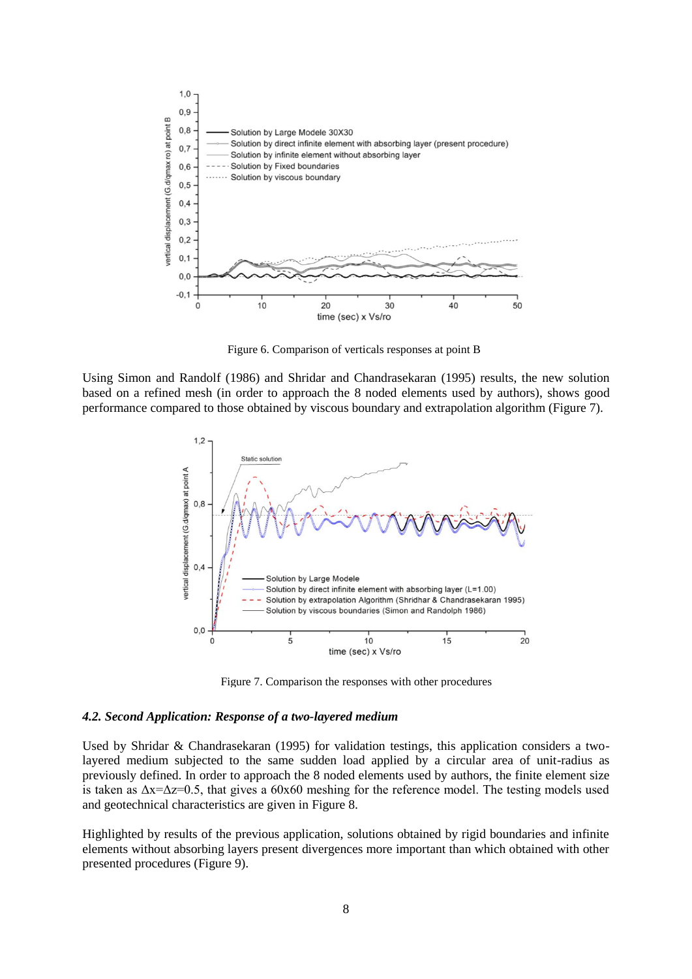

Figure 6. Comparison of verticals responses at point B

Using Simon and Randolf (1986) and Shridar and Chandrasekaran (1995) results, the new solution based on a refined mesh (in order to approach the 8 noded elements used by authors), shows good performance compared to those obtained by viscous boundary and extrapolation algorithm (Figure 7).



Figure 7. Comparison the responses with other procedures

#### *4.2. Second Application: Response of a two-layered medium*

Used by Shridar & Chandrasekaran (1995) for validation testings, this application considers a twolayered medium subjected to the same sudden load applied by a circular area of unit-radius as previously defined. In order to approach the 8 noded elements used by authors, the finite element size is taken as  $\Delta x = \Delta z = 0.5$ , that gives a 60x60 meshing for the reference model. The testing models used and geotechnical characteristics are given in Figure 8.

Highlighted by results of the previous application, solutions obtained by rigid boundaries and infinite elements without absorbing layers present divergences more important than which obtained with other presented procedures (Figure 9).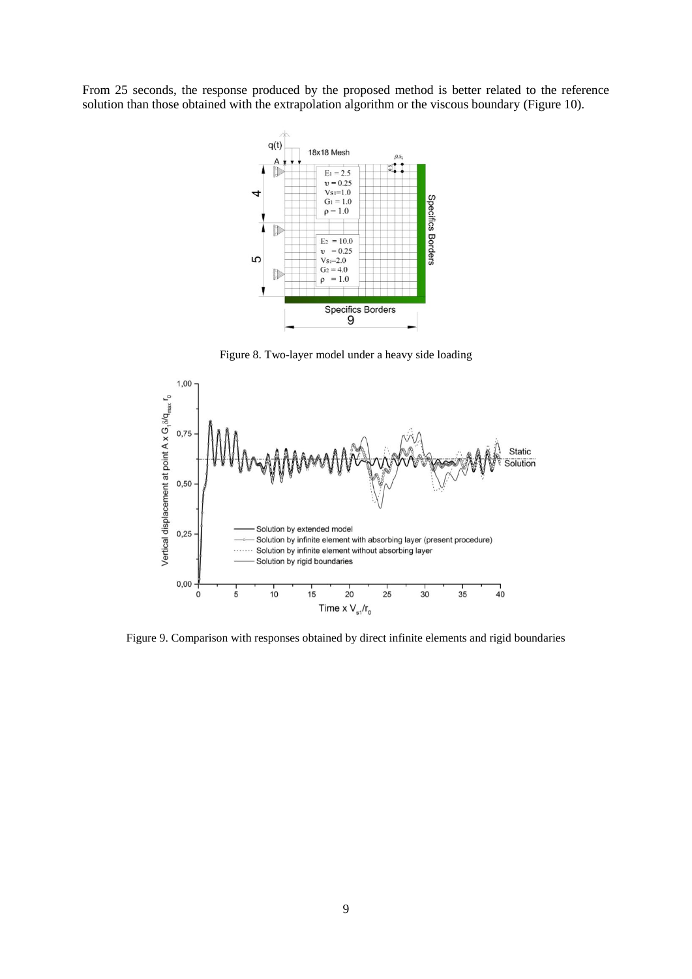From 25 seconds, the response produced by the proposed method is better related to the reference solution than those obtained with the extrapolation algorithm or the viscous boundary (Figure 10).



Figure 8. Two-layer model under a heavy side loading



Figure 9. Comparison with responses obtained by direct infinite elements and rigid boundaries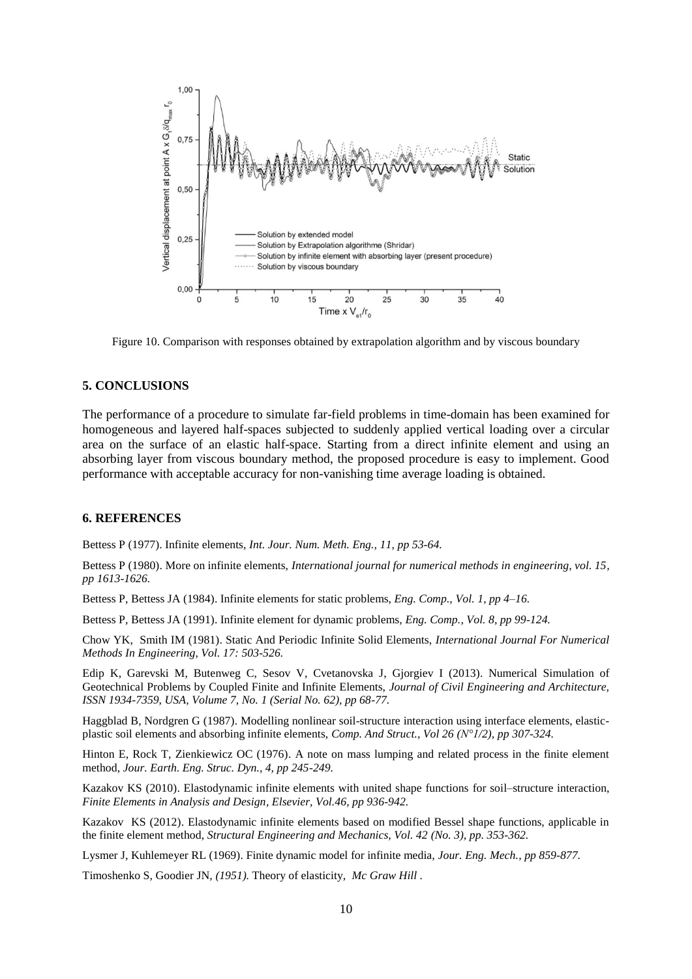

Figure 10. Comparison with responses obtained by extrapolation algorithm and by viscous boundary

## **5. CONCLUSIONS**

The performance of a procedure to simulate far-field problems in time-domain has been examined for homogeneous and layered half-spaces subjected to suddenly applied vertical loading over a circular area on the surface of an elastic half-space. Starting from a direct infinite element and using an absorbing layer from viscous boundary method, the proposed procedure is easy to implement. Good performance with acceptable accuracy for non-vanishing time average loading is obtained.

#### **6. REFERENCES**

Bettess P (1977). Infinite elements, *Int. Jour. Num. Meth. Eng., 11, pp 53-64.*

Bettess P (1980). More on infinite elements, *International journal for numerical methods in engineering, vol. 15, pp 1613-1626.*

Bettess P, Bettess JA (1984). Infinite elements for static problems, *Eng. Comp., Vol. 1, pp 4–16.*

Bettess P, Bettess JA (1991). Infinite element for dynamic problems, *Eng. Comp., Vol. 8, pp 99-124.*

Chow YK, Smith IM (1981). Static And Periodic Infinite Solid Elements, *International Journal For Numerical Methods In Engineering, Vol. 17: 503-526.*

Edip K, Garevski M, Butenweg C, Sesov V, Cvetanovska J, Gjorgiev I (2013). Numerical Simulation of Geotechnical Problems by Coupled Finite and Infinite Elements, *Journal of Civil Engineering and Architecture, ISSN 1934-7359, USA, Volume 7, No. 1 (Serial No. 62), pp 68-77.*

Haggblad B, Nordgren G (1987). Modelling nonlinear soil-structure interaction using interface elements, elasticplastic soil elements and absorbing infinite elements, *Comp. And Struct., Vol 26 (N°1/2), pp 307-324.*

Hinton E, Rock T, Zienkiewicz OC (1976). A note on mass lumping and related process in the finite element method, *Jour. Earth. Eng. Struc. Dyn., 4, pp 245-249.* 

Kazakov KS (2010). Elastodynamic infinite elements with united shape functions for soil–structure interaction, *Finite Elements in Analysis and Design, Elsevier, Vol.46, pp 936-942.*

Kazakov KS (2012). Elastodynamic infinite elements based on modified Bessel shape functions, applicable in the finite element method, *Structural Engineering and Mechanics, Vol. 42 (No. 3), pp. 353-362.*

Lysmer J, Kuhlemeyer RL (1969). Finite dynamic model for infinite media, *Jour. Eng. Mech., pp 859-877.*

Timoshenko S, Goodier JN, *(1951).* Theory of elasticity, *Mc Graw Hill .*